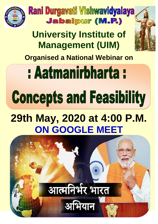

Rani Durgavati Vishwavidyalaya Jabalpur (M.P.)

## **University Institute of Management (UIM)**

### **Organised a National Webinar on**

# : Aatmanirbharta : **Concepts and Feasibility**

## **29th May, 2020 at 4:00 P.M. ON GOOGLE MEET**